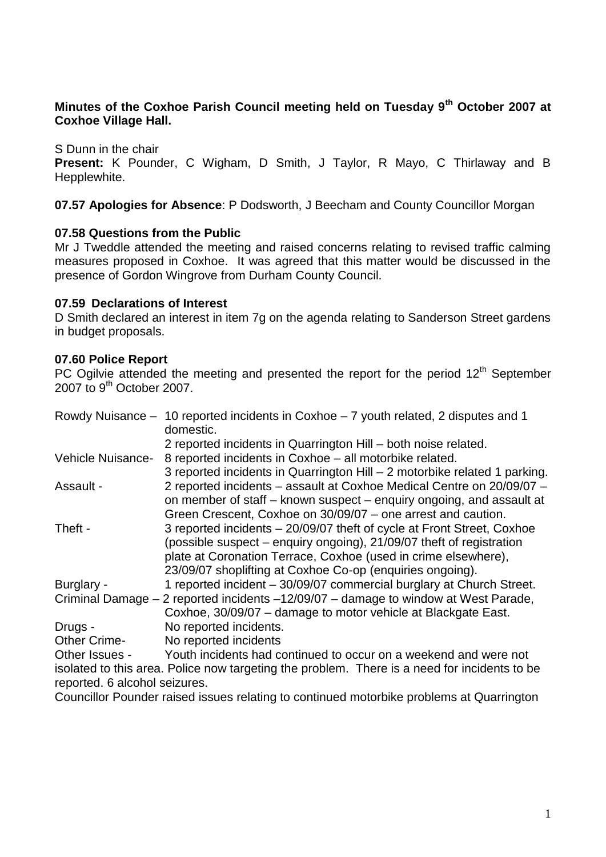### **Minutes of the Coxhoe Parish Council meeting held on Tuesday 9th October 2007 at Coxhoe Village Hall.**

S Dunn in the chair

**Present:** K Pounder, C Wigham, D Smith, J Taylor, R Mayo, C Thirlaway and B Hepplewhite.

**07.57 Apologies for Absence**: P Dodsworth, J Beecham and County Councillor Morgan

#### **07.58 Questions from the Public**

Mr J Tweddle attended the meeting and raised concerns relating to revised traffic calming measures proposed in Coxhoe. It was agreed that this matter would be discussed in the presence of Gordon Wingrove from Durham County Council.

#### **07.59 Declarations of Interest**

D Smith declared an interest in item 7g on the agenda relating to Sanderson Street gardens in budget proposals.

#### **07.60 Police Report**

PC Ogilvie attended the meeting and presented the report for the period 12<sup>th</sup> September 2007 to  $9<sup>th</sup>$  October 2007.

| Rowdy Nuisance -              | 10 reported incidents in Coxhoe – 7 youth related, 2 disputes and 1<br>domestic.             |
|-------------------------------|----------------------------------------------------------------------------------------------|
|                               | 2 reported incidents in Quarrington Hill - both noise related.                               |
| Vehicle Nuisance-             | 8 reported incidents in Coxhoe - all motorbike related.                                      |
|                               | 3 reported incidents in Quarrington Hill - 2 motorbike related 1 parking.                    |
| Assault -                     | 2 reported incidents - assault at Coxhoe Medical Centre on 20/09/07 -                        |
|                               | on member of staff – known suspect – enquiry ongoing, and assault at                         |
|                               | Green Crescent, Coxhoe on 30/09/07 - one arrest and caution.                                 |
| Theft -                       | 3 reported incidents - 20/09/07 theft of cycle at Front Street, Coxhoe                       |
|                               | (possible suspect – enquiry ongoing), 21/09/07 theft of registration                         |
|                               | plate at Coronation Terrace, Coxhoe (used in crime elsewhere),                               |
|                               | 23/09/07 shoplifting at Coxhoe Co-op (enquiries ongoing).                                    |
| Burglary -                    | 1 reported incident - 30/09/07 commercial burglary at Church Street.                         |
|                               | Criminal Damage – 2 reported incidents –12/09/07 – damage to window at West Parade,          |
|                               | Coxhoe, 30/09/07 – damage to motor vehicle at Blackgate East.                                |
| Drugs -                       | No reported incidents.                                                                       |
| <b>Other Crime-</b>           | No reported incidents                                                                        |
| Other Issues -                | Youth incidents had continued to occur on a weekend and were not                             |
|                               | isolated to this area. Police now targeting the problem. There is a need for incidents to be |
| reported. 6 alcohol seizures. |                                                                                              |

Councillor Pounder raised issues relating to continued motorbike problems at Quarrington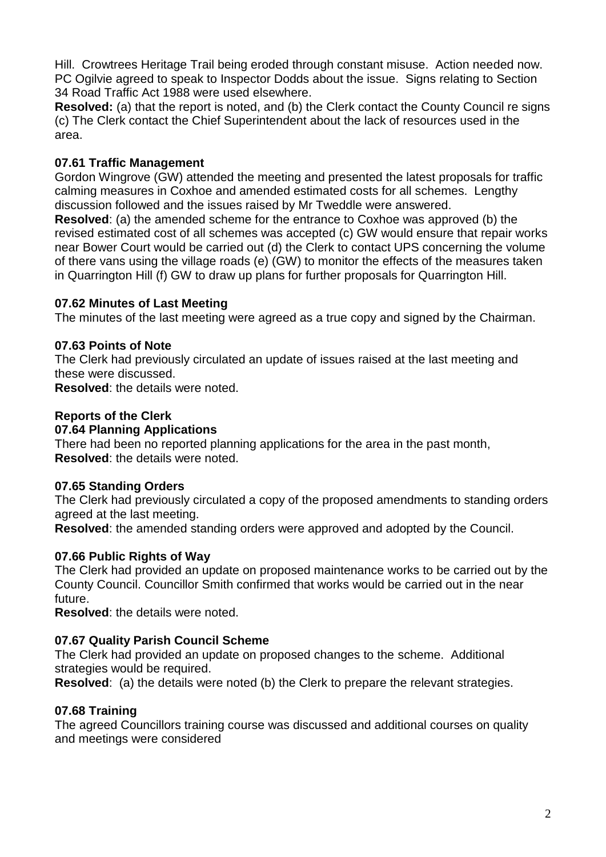Hill. Crowtrees Heritage Trail being eroded through constant misuse. Action needed now. PC Ogilvie agreed to speak to Inspector Dodds about the issue. Signs relating to Section 34 Road Traffic Act 1988 were used elsewhere.

**Resolved:** (a) that the report is noted, and (b) the Clerk contact the County Council re signs (c) The Clerk contact the Chief Superintendent about the lack of resources used in the area.

# **07.61 Traffic Management**

Gordon Wingrove (GW) attended the meeting and presented the latest proposals for traffic calming measures in Coxhoe and amended estimated costs for all schemes. Lengthy discussion followed and the issues raised by Mr Tweddle were answered.

**Resolved**: (a) the amended scheme for the entrance to Coxhoe was approved (b) the revised estimated cost of all schemes was accepted (c) GW would ensure that repair works near Bower Court would be carried out (d) the Clerk to contact UPS concerning the volume of there vans using the village roads (e) (GW) to monitor the effects of the measures taken in Quarrington Hill (f) GW to draw up plans for further proposals for Quarrington Hill.

# **07.62 Minutes of Last Meeting**

The minutes of the last meeting were agreed as a true copy and signed by the Chairman.

### **07.63 Points of Note**

The Clerk had previously circulated an update of issues raised at the last meeting and these were discussed.

**Resolved**: the details were noted.

### **Reports of the Clerk**

### **07.64 Planning Applications**

There had been no reported planning applications for the area in the past month, **Resolved**: the details were noted.

### **07.65 Standing Orders**

The Clerk had previously circulated a copy of the proposed amendments to standing orders agreed at the last meeting.

**Resolved**: the amended standing orders were approved and adopted by the Council.

# **07.66 Public Rights of Way**

The Clerk had provided an update on proposed maintenance works to be carried out by the County Council. Councillor Smith confirmed that works would be carried out in the near future.

**Resolved**: the details were noted.

### **07.67 Quality Parish Council Scheme**

The Clerk had provided an update on proposed changes to the scheme. Additional strategies would be required.

**Resolved:** (a) the details were noted (b) the Clerk to prepare the relevant strategies.

# **07.68 Training**

The agreed Councillors training course was discussed and additional courses on quality and meetings were considered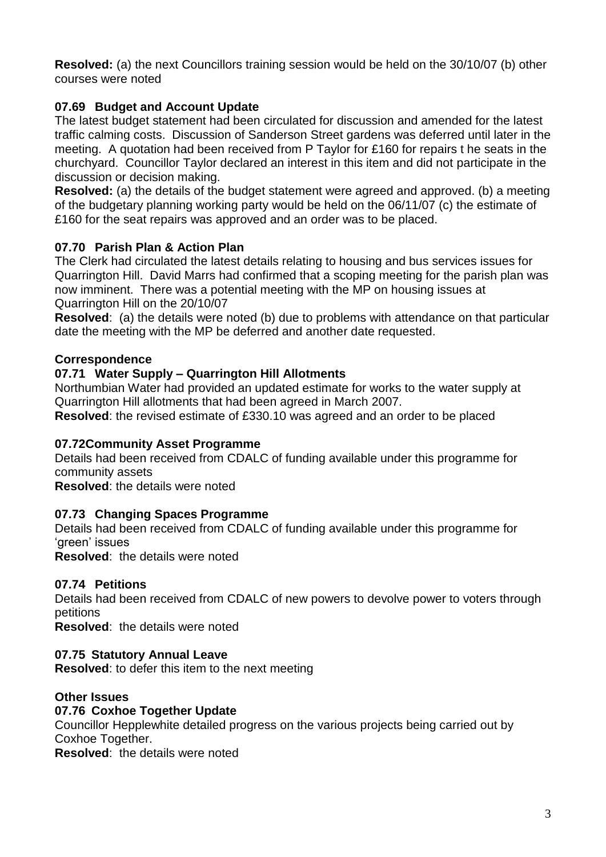**Resolved:** (a) the next Councillors training session would be held on the 30/10/07 (b) other courses were noted

# **07.69 Budget and Account Update**

The latest budget statement had been circulated for discussion and amended for the latest traffic calming costs. Discussion of Sanderson Street gardens was deferred until later in the meeting. A quotation had been received from P Taylor for £160 for repairs t he seats in the churchyard. Councillor Taylor declared an interest in this item and did not participate in the discussion or decision making.

**Resolved:** (a) the details of the budget statement were agreed and approved. (b) a meeting of the budgetary planning working party would be held on the 06/11/07 (c) the estimate of £160 for the seat repairs was approved and an order was to be placed.

# **07.70 Parish Plan & Action Plan**

The Clerk had circulated the latest details relating to housing and bus services issues for Quarrington Hill. David Marrs had confirmed that a scoping meeting for the parish plan was now imminent. There was a potential meeting with the MP on housing issues at Quarrington Hill on the 20/10/07

**Resolved:** (a) the details were noted (b) due to problems with attendance on that particular date the meeting with the MP be deferred and another date requested.

### **Correspondence**

### **07.71 Water Supply – Quarrington Hill Allotments**

Northumbian Water had provided an updated estimate for works to the water supply at Quarrington Hill allotments that had been agreed in March 2007.

**Resolved**: the revised estimate of £330.10 was agreed and an order to be placed

# **07.72Community Asset Programme**

Details had been received from CDALC of funding available under this programme for community assets

**Resolved**: the details were noted

# **07.73 Changing Spaces Programme**

Details had been received from CDALC of funding available under this programme for 'green' issues **Resolved**: the details were noted

### **07.74 Petitions**

Details had been received from CDALC of new powers to devolve power to voters through petitions

**Resolved**: the details were noted

### **07.75 Statutory Annual Leave**

**Resolved**: to defer this item to the next meeting

# **Other Issues**

### **07.76 Coxhoe Together Update**

Councillor Hepplewhite detailed progress on the various projects being carried out by Coxhoe Together.

**Resolved**: the details were noted